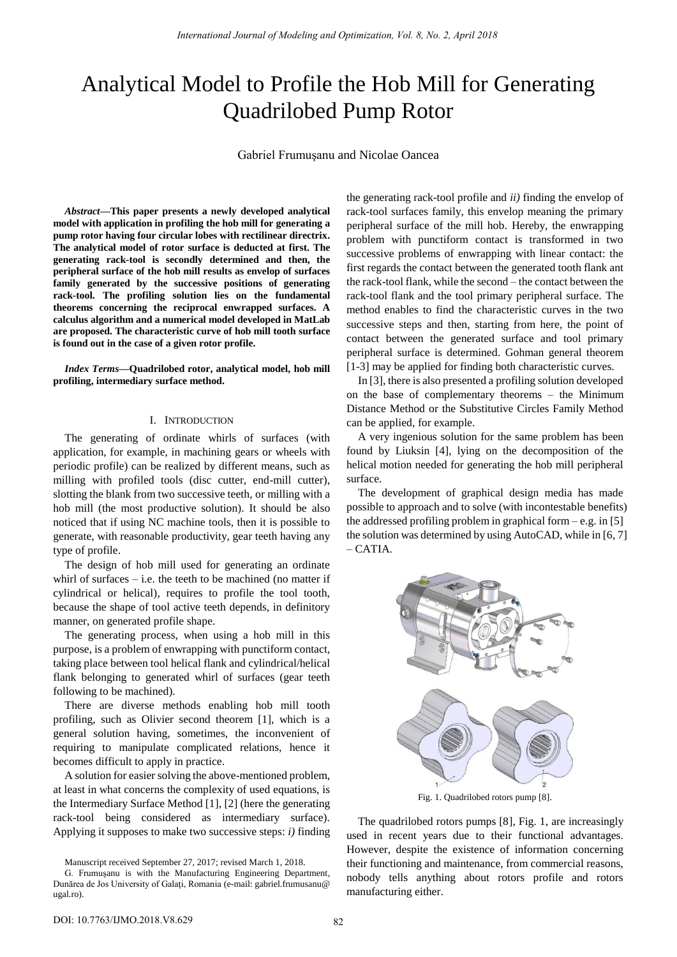# Analytical Model to Profile the Hob Mill for Generating Quadrilobed Pump Rotor

Gabriel Frumuşanu and Nicolae Oancea

*Abstract***—This paper presents a newly developed analytical model with application in profiling the hob mill for generating a pump rotor having four circular lobes with rectilinear directrix. The analytical model of rotor surface is deducted at first. The generating rack-tool is secondly determined and then, the peripheral surface of the hob mill results as envelop of surfaces family generated by the successive positions of generating rack-tool. The profiling solution lies on the fundamental theorems concerning the reciprocal enwrapped surfaces. A calculus algorithm and a numerical model developed in MatLab are proposed. The characteristic curve of hob mill tooth surface is found out in the case of a given rotor profile.** 

*Index Terms***—Quadrilobed rotor, analytical model, hob mill profiling, intermediary surface method.** 

## I. INTRODUCTION

The generating of ordinate whirls of surfaces (with application, for example, in machining gears or wheels with periodic profile) can be realized by different means, such as milling with profiled tools (disc cutter, end-mill cutter), slotting the blank from two successive teeth, or milling with a hob mill (the most productive solution). It should be also noticed that if using NC machine tools, then it is possible to generate, with reasonable productivity, gear teeth having any type of profile.

The design of hob mill used for generating an ordinate whirl of surfaces  $-$  i.e. the teeth to be machined (no matter if cylindrical or helical), requires to profile the tool tooth, because the shape of tool active teeth depends, in definitory manner, on generated profile shape.

The generating process, when using a hob mill in this purpose, is a problem of enwrapping with punctiform contact, taking place between tool helical flank and cylindrical/helical flank belonging to generated whirl of surfaces (gear teeth following to be machined).

There are diverse methods enabling hob mill tooth profiling, such as Olivier second theorem [1], which is a general solution having, sometimes, the inconvenient of requiring to manipulate complicated relations, hence it becomes difficult to apply in practice.

A solution for easier solving the above-mentioned problem, at least in what concerns the complexity of used equations, is the Intermediary Surface Method [1], [2] (here the generating rack-tool being considered as intermediary surface). Applying it supposes to make two successive steps: *i)* finding

Manuscript received September 27, 2017; revised March 1, 2018.

the generating rack-tool profile and *ii)* finding the envelop of rack-tool surfaces family, this envelop meaning the primary peripheral surface of the mill hob. Hereby, the enwrapping problem with punctiform contact is transformed in two successive problems of enwrapping with linear contact: the first regards the contact between the generated tooth flank ant the rack-tool flank, while the second – the contact between the rack-tool flank and the tool primary peripheral surface. The method enables to find the characteristic curves in the two successive steps and then, starting from here, the point of contact between the generated surface and tool primary peripheral surface is determined. Gohman general theorem [1-3] may be applied for finding both characteristic curves.

In [3], there is also presented a profiling solution developed on the base of complementary theorems – the Minimum Distance Method or the Substitutive Circles Family Method can be applied, for example.

A very ingenious solution for the same problem has been found by Liuksin [4], lying on the decomposition of the helical motion needed for generating the hob mill peripheral surface.

The development of graphical design media has made possible to approach and to solve (with incontestable benefits) the addressed profiling problem in graphical form  $-$  e.g. in [5] the solution was determined by using AutoCAD, while in [6, 7] – CATIA.



The quadrilobed rotors pumps [8], Fig. 1, are increasingly

used in recent years due to their functional advantages. However, despite the existence of information concerning their functioning and maintenance, from commercial reasons, nobody tells anything about rotors profile and rotors manufacturing either.

G. Frumuşanu is with the Manufacturing Engineering Department, Dunărea de Jos University of Galaţi, Romania (e-mail: gabriel.frumusanu@ ugal.ro).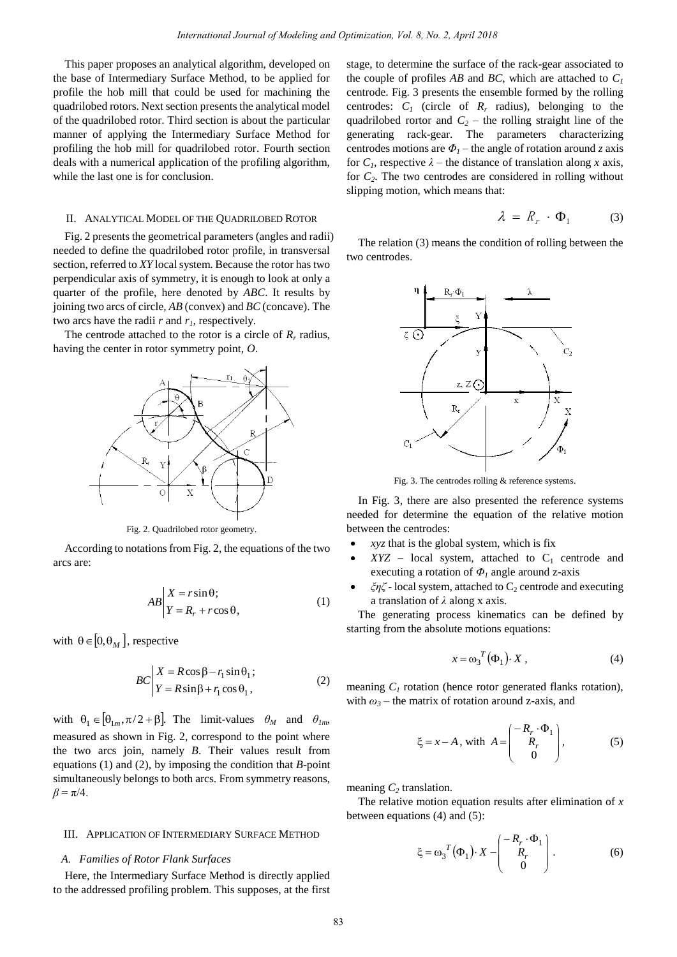This paper proposes an analytical algorithm, developed on the base of Intermediary Surface Method, to be applied for profile the hob mill that could be used for machining the quadrilobed rotors. Next section presents the analytical model of the quadrilobed rotor. Third section is about the particular manner of applying the Intermediary Surface Method for profiling the hob mill for quadrilobed rotor. Fourth section deals with a numerical application of the profiling algorithm, while the last one is for conclusion.

## II. ANALYTICAL MODEL OF THE QUADRILOBED ROTOR

Fig. 2 presents the geometrical parameters (angles and radii) needed to define the quadrilobed rotor profile, in transversal section, referred to *XY* local system. Because the rotor has two perpendicular axis of symmetry, it is enough to look at only a quarter of the profile, here denoted by *ABC*. It results by joining two arcs of circle, *AB* (convex) and *BC* (concave). The two arcs have the radii *r* and *r1*, respectively.

The centrode attached to the rotor is a circle of  $R_r$  radius, having the center in rotor symmetry point, *O*.



Fig. 2. Quadrilobed rotor geometry.

 According to notations from Fig. 2, the equations of the two arcs are:

$$
AB\begin{vmatrix} X = r\sin\theta; \\ Y = R_r + r\cos\theta, \end{vmatrix} \tag{1}
$$

with  $\theta \in [0, \theta_M]$ , respective

$$
BC\begin{vmatrix} X = R\cos\beta - r_1\sin\theta_1; \\ Y = R\sin\beta + r_1\cos\theta_1, \end{vmatrix}
$$
 (2)

with  $\theta_1 \in [\theta_{1m}, \pi/2 + \beta]$ . The limit-values  $\theta_M$  and  $\theta_{1m}$ , measured as shown in Fig. 2, correspond to the point where the two arcs join, namely *B*. Their values result from equations (1) and (2), by imposing the condition that *B*-point simultaneously belongs to both arcs. From symmetry reasons,  $\beta = \pi/4$ .

#### III. APPLICATION OF INTERMEDIARY SURFACE METHOD

## *A. Families of Rotor Flank Surfaces*

Here, the Intermediary Surface Method is directly applied to the addressed profiling problem. This supposes, at the first stage, to determine the surface of the rack-gear associated to the couple of profiles *AB* and *BC*, which are attached to  $C<sub>1</sub>$ centrode. Fig. 3 presents the ensemble formed by the rolling centrodes:  $C_I$  (circle of  $R_r$  radius), belonging to the quadrilobed rortor and  $C_2$  – the rolling straight line of the generating rack-gear. The parameters characterizing centrodes motions are  $\Phi$ <sub>*I*</sub> – the angle of rotation around *z* axis for  $C<sub>1</sub>$ , respective  $\lambda$  – the distance of translation along *x* axis, for  $C_2$ . The two centrodes are considered in rolling without slipping motion, which means that:

$$
\lambda = R_r \cdot \Phi_1 \tag{3}
$$

The relation (3) means the condition of rolling between the two centrodes.



Fig. 3. The centrodes rolling & reference systems.

In Fig. 3, there are also presented the reference systems needed for determine the equation of the relative motion between the centrodes:

- *xyz* that is the global system, which is fix
- $XYZ$  local system, attached to  $C_1$  centrode and executing a rotation of *Φ1* angle around z-axis
- ξηζ local system, attached to C<sub>2</sub> centrode and executing a translation of *λ* along x axis.

The generating process kinematics can be defined by starting from the absolute motions equations:

$$
x = \omega_3^T (\Phi_1) \cdot X \,, \tag{4}
$$

meaning  $C<sub>1</sub>$  rotation (hence rotor generated flanks rotation), with  $\omega_3$  – the matrix of rotation around z-axis, and

$$
\xi = x - A, \text{ with } A = \begin{pmatrix} -R_r \cdot \Phi_1 \\ R_r \\ 0 \end{pmatrix}, \tag{5}
$$

meaning *C2* translation.

The relative motion equation results after elimination of *x* between equations (4) and (5):

$$
\xi = \omega_3^T(\Phi_1) \cdot X - \begin{pmatrix} -R_r \cdot \Phi_1 \\ R_r \\ 0 \end{pmatrix} . \tag{6}
$$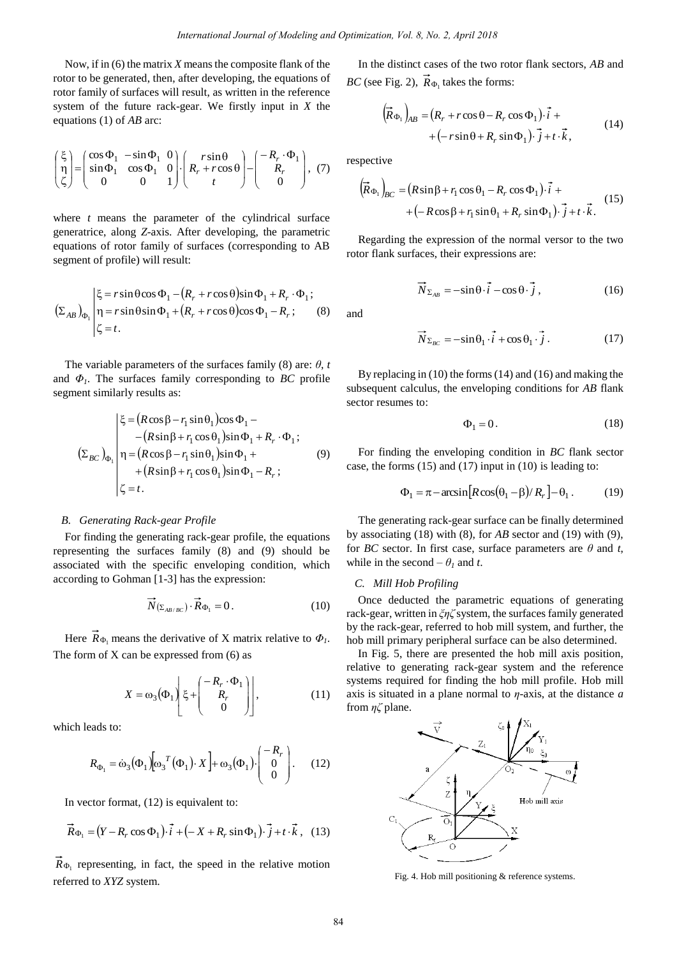Now, if in (6) the matrix *X* means the composite flank of the rotor to be generated, then, after developing, the equations of rotor family of surfaces will result, as written in the reference system of the future rack-gear. We firstly input in *X* the equations (1) of *AB* arc:

$$
\begin{pmatrix} \xi \\ \eta \\ \zeta \end{pmatrix} = \begin{pmatrix} \cos \Phi_1 & -\sin \Phi_1 & 0 \\ \sin \Phi_1 & \cos \Phi_1 & 0 \\ 0 & 0 & 1 \end{pmatrix} \cdot \begin{pmatrix} r \sin \theta \\ R_r + r \cos \theta \\ t \end{pmatrix} - \begin{pmatrix} -R_r \cdot \Phi_1 \\ R_r \\ 0 \end{pmatrix}, (7)
$$

where *t* means the parameter of the cylindrical surface generatrice, along *Z*-axis. After developing, the parametric equations of rotor family of surfaces (corresponding to AB segment of profile) will result:

segment of profile) will result:  
\n
$$
\left\{\xi = r \sin \theta \cos \Phi_1 - (R_r + r \cos \theta) \sin \Phi_1 + R_r \cdot \Phi_1; \right\}
$$
\n
$$
\left(\Sigma_{AB}\right)_{\Phi_1} \begin{vmatrix} \xi = r \sin \theta \sin \Phi_1 + (R_r + r \cos \theta) \cos \Phi_1 - R_r; \\ \xi = t. \end{vmatrix} \tag{8}
$$

The variable parameters of the surfaces family (8) are: *θ*, *t* and  $\Phi$ <sub>*l*</sub>. The surfaces family corresponding to *BC* profile segment similarly results as:

$$
\left\{\xi = (R\cos\beta - r_1\sin\theta_1)\cos\Phi_1 - (R\sin\beta + r_1\cos\theta_1)\sin\Phi_1 + R_r \cdot \Phi_1; \right\}
$$
  
\n
$$
\left(\Sigma_{BC}\right)_{\Phi_1} \n\left| \n\eta = (R\cos\beta - r_1\sin\theta_1)\sin\Phi_1 + (R\sin\beta + r_1\cos\theta_1)\sin\Phi_1 - R_r; \right\}
$$
  
\n
$$
\zeta = t.
$$
\n(9)

## *B. Generating Rack-gear Profile*

For finding the generating rack-gear profile, the equations representing the surfaces family (8) and (9) should be associated with the specific enveloping condition, which according to Gohman [1-3] has the expression:

$$
\overrightarrow{N}_{\left(\Sigma_{AB/BC}\right)} \cdot \overrightarrow{R}_{\Phi_1} = 0. \tag{10}
$$

Here  $R_{\Phi_1}$  means the derivative of X matrix relative to  $\Phi_1$ . The form of  $X$  can be expressed from  $(6)$  as

$$
X = \omega_3(\Phi_1) \begin{bmatrix} \xi + \begin{bmatrix} -R_r \cdot \Phi_1 \\ R_r \\ 0 \end{bmatrix} \end{bmatrix},
$$
 (11)

which leads to:

which leads to:

\n
$$
R_{\Phi_1} = \dot{\omega}_3 \left( \Phi_1 \right) \left[ \omega_3^T \left( \Phi_1 \right) \cdot X \right] + \omega_3 \left( \Phi_1 \right) \cdot \begin{pmatrix} -R_r \\ 0 \\ 0 \end{pmatrix} . \tag{12}
$$

In vector format, (12) is equivalent to:

$$
\vec{R}_{\Phi_1} = (Y - R_r \cos \Phi_1) \cdot \vec{i} + (-X + R_r \sin \Phi_1) \cdot \vec{j} + t \cdot \vec{k}, \quad (13)
$$

 $R_{\Phi_1}$  representing, in fact, the speed in the relative motion referred to *XYZ* system.

In the distinct cases of the two rotor flank sectors, *AB* and

BC (see Fig. 2), 
$$
\vec{R}_{\Phi_1}
$$
 takes the forms:  
\n
$$
(\vec{R}_{\Phi_1})_{AB} = (R_r + r \cos \theta - R_r \cos \Phi_1) \cdot \vec{i} + (-r \sin \theta + R_r \sin \Phi_1) \cdot \vec{j} + t \cdot \vec{k},
$$
\n(14)

respective

$$
+(-7\sin\theta + R_r \sin\phi_1)^r J + i^r \kappa,
$$
  
pective  

$$
(\vec{R}_{\Phi_1})_{BC} = (R\sin\beta + r_1 \cos\theta_1 - R_r \cos\phi_1) \cdot \vec{i} +
$$

$$
+ (-R\cos\beta + r_1 \sin\theta_1 + R_r \sin\phi_1) \cdot \vec{j} + t \cdot \vec{k}.
$$
 (15)

Regarding the expression of the normal versor to the two rotor flank surfaces, their expressions are:

$$
\vec{N}_{\Sigma_{AB}} = -\sin\theta \cdot \vec{i} - \cos\theta \cdot \vec{j}, \qquad (16)
$$

and

$$
\vec{N}_{\Sigma_{BC}} = -\sin\theta_1 \cdot \vec{i} + \cos\theta_1 \cdot \vec{j} \,. \tag{17}
$$

By replacing in (10) the forms (14) and (16) and making the subsequent calculus, the enveloping conditions for *AB* flank sector resumes to:

$$
\Phi_1 = 0. \tag{18}
$$

For finding the enveloping condition in *BC* flank sector

case, the forms (15) and (17) input in (10) is leading to:  
\n
$$
\Phi_1 = \pi - \arcsin[R\cos(\theta_1 - \beta)/R_r] - \theta_1.
$$
\n(19)

The generating rack-gear surface can be finally determined by associating (18) with (8), for *AB* sector and (19) with (9), for *BC* sector. In first case, surface parameters are  $\theta$  and *t*, while in the second  $-\theta_l$  and *t*.

## *C. Mill Hob Profiling*

Once deducted the parametric equations of generating rack-gear, written in *ξηζ* system, the surfaces family generated by the rack-gear, referred to hob mill system, and further, the hob mill primary peripheral surface can be also determined.

In Fig. 5, there are presented the hob mill axis position, relative to generating rack-gear system and the reference systems required for finding the hob mill profile. Hob mill axis is situated in a plane normal to *η*-axis, at the distance *a* from *ηζ* plane.



Fig. 4. Hob mill positioning & reference systems.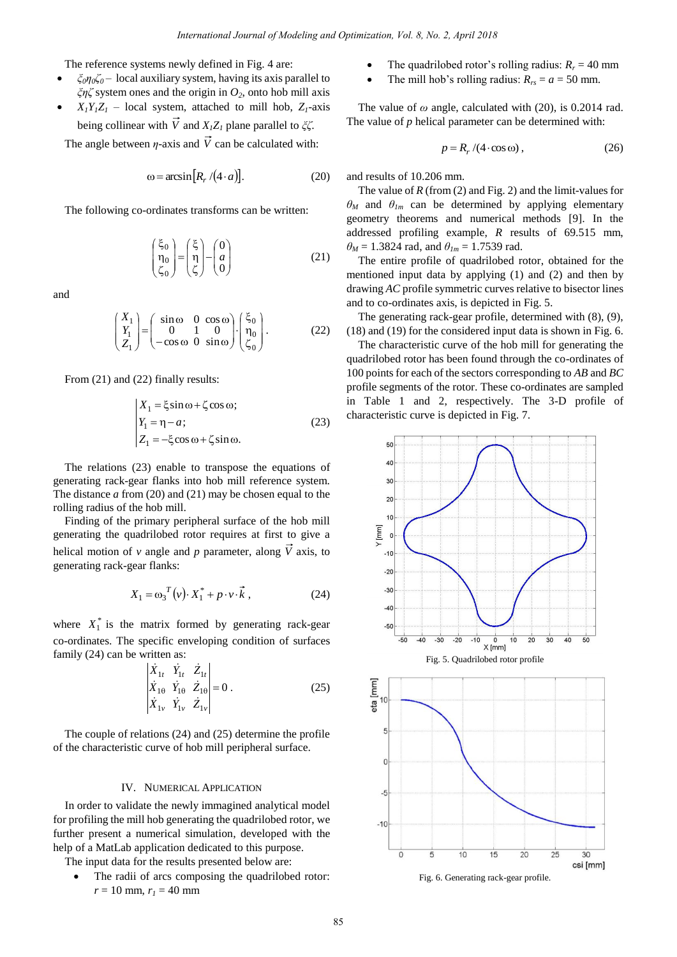The reference systems newly defined in Fig. 4 are:

- *ξ0η0ζ<sup>0</sup>* local auxiliary system, having its axis parallel to *ξηζ* system ones and the origin in *O2*, onto hob mill axis
- $X_1 Y_1 Z_1$  local system, attached to mill hob,  $Z_1$ -axis being collinear with *V* and *X1Z1* plane parallel to *ξζ*.

The angle between  $\eta$ -axis and V can be calculated with:

$$
\omega = \arcsin\big[R_r/(4 \cdot a)\big].\tag{20}
$$

The following co-ordinates transforms can be written:

$$
\begin{pmatrix} \xi_0 \\ \eta_0 \\ \zeta_0 \end{pmatrix} = \begin{pmatrix} \xi \\ \eta \\ \zeta \end{pmatrix} - \begin{pmatrix} 0 \\ a \\ 0 \end{pmatrix}
$$
 (21)

and

$$
\begin{pmatrix} X_1 \\ Y_1 \\ Z_1 \end{pmatrix} = \begin{pmatrix} \sin \omega & 0 & \cos \omega \\ 0 & 1 & 0 \\ -\cos \omega & 0 & \sin \omega \end{pmatrix} \cdot \begin{pmatrix} \xi_0 \\ \eta_0 \\ \zeta_0 \end{pmatrix}.
$$
 (22)

From (21) and (22) finally results:

$$
\begin{cases}\nX_1 = \xi \sin \omega + \zeta \cos \omega; \\
Y_1 = \eta - a; \\
Z_1 = -\xi \cos \omega + \zeta \sin \omega.\n\end{cases}
$$
\n(23)

The relations (23) enable to transpose the equations of generating rack-gear flanks into hob mill reference system. The distance *a* from (20) and (21) may be chosen equal to the rolling radius of the hob mill.

Finding of the primary peripheral surface of the hob mill generating the quadrilobed rotor requires at first to give a helical motion of  $\nu$  angle and  $p$  parameter, along  $V$  axis, to generating rack-gear flanks:

$$
X_1 = \omega_3^T(\nu) \cdot X_1^* + p \cdot \nu \cdot \vec{k} \tag{24}
$$

where  $X_1^*$  is the matrix formed by generating rack-gear co-ordinates. The specific enveloping condition of surfaces family (24) can be written as:

$$
\begin{vmatrix} \dot{X}_{1t} & \dot{Y}_{1t} & \dot{Z}_{1t} \\ \dot{X}_{1\theta} & \dot{Y}_{1\theta} & \dot{Z}_{1\theta} \\ \dot{X}_{1v} & \dot{Y}_{1v} & \dot{Z}_{1v} \end{vmatrix} = 0.
$$
 (25)

The couple of relations (24) and (25) determine the profile of the characteristic curve of hob mill peripheral surface.

# IV. NUMERICAL APPLICATION

In order to validate the newly immagined analytical model for profiling the mill hob generating the quadrilobed rotor, we further present a numerical simulation, developed with the help of a MatLab application dedicated to this purpose.

The input data for the results presented below are:

 The radii of arcs composing the quadrilobed rotor:  $r = 10$  mm,  $r_1 = 40$  mm

- The quadrilobed rotor's rolling radius:  $R_r = 40$  mm
- The mill hob's rolling radius:  $R_{rs} = a = 50$  mm.

The value of  $\omega$  angle, calculated with (20), is 0.2014 rad. The value of *p* helical parameter can be determined with:

$$
p = R_r / (4 \cdot \cos \omega), \tag{26}
$$

and results of 10.206 mm.

The value of *R* (from (2) and Fig. 2) and the limit-values for  $\theta_M$  and  $\theta_{Im}$  can be determined by applying elementary geometry theorems and numerical methods [9]. In the addressed profiling example, *R* results of 69.515 mm,  $\theta_M$  = 1.3824 rad, and  $\theta_{lm}$  = 1.7539 rad.

The entire profile of quadrilobed rotor, obtained for the mentioned input data by applying (1) and (2) and then by drawing *AC* profile symmetric curves relative to bisector lines and to co-ordinates axis, is depicted in Fig. 5.

The generating rack-gear profile, determined with (8), (9), (18) and (19) for the considered input data is shown in Fig. 6.

The characteristic curve of the hob mill for generating the quadrilobed rotor has been found through the co-ordinates of 100 points for each of the sectors corresponding to *AB* and *BC* profile segments of the rotor. These co-ordinates are sampled in Table 1 and 2, respectively. The 3-D profile of characteristic curve is depicted in Fig. 7.